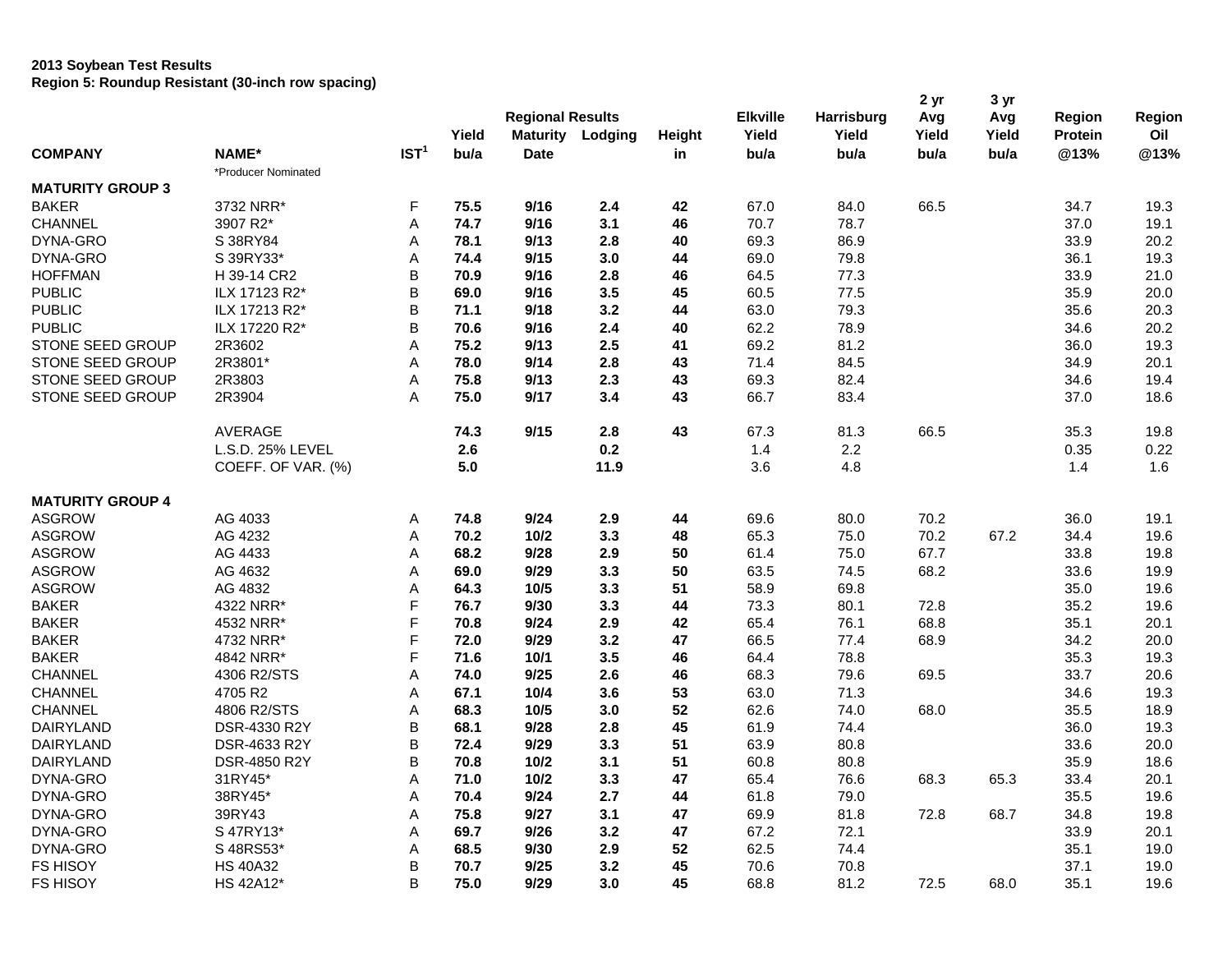## **2013 Soybean Test Results Region 5: Roundup Resistant (30-inch row spacing)**

|                         |                     |                  | Yield | <b>Regional Results</b> | <b>Maturity Lodging</b> | Height | <b>Elkville</b><br>Yield | Harrisburg<br>Yield | 2 yr<br>Avg<br>Yield | 3 yr<br>Avg<br>Yield | Region<br>Protein | Region<br>Oil |
|-------------------------|---------------------|------------------|-------|-------------------------|-------------------------|--------|--------------------------|---------------------|----------------------|----------------------|-------------------|---------------|
| <b>COMPANY</b>          | NAME*               | IST <sup>1</sup> | bu/a  | <b>Date</b>             |                         | in     | bu/a                     | bu/a                | bu/a                 | bu/a                 | @13%              | @13%          |
|                         | *Producer Nominated |                  |       |                         |                         |        |                          |                     |                      |                      |                   |               |
| <b>MATURITY GROUP 3</b> |                     |                  |       |                         |                         |        |                          |                     |                      |                      |                   |               |
| <b>BAKER</b>            | 3732 NRR*           | F                | 75.5  | 9/16                    | 2.4                     | 42     | 67.0                     | 84.0                | 66.5                 |                      | 34.7              | 19.3          |
| <b>CHANNEL</b>          | 3907 R2*            | A                | 74.7  | 9/16                    | 3.1                     | 46     | 70.7                     | 78.7                |                      |                      | 37.0              | 19.1          |
| DYNA-GRO                | S 38RY84            | А                | 78.1  | 9/13                    | 2.8                     | 40     | 69.3                     | 86.9                |                      |                      | 33.9              | 20.2          |
| DYNA-GRO                | S 39RY33*           | А                | 74.4  | 9/15                    | 3.0                     | 44     | 69.0                     | 79.8                |                      |                      | 36.1              | 19.3          |
| <b>HOFFMAN</b>          | H 39-14 CR2         | B                | 70.9  | 9/16                    | 2.8                     | 46     | 64.5                     | 77.3                |                      |                      | 33.9              | 21.0          |
| <b>PUBLIC</b>           | ILX 17123 R2*       | B                | 69.0  | 9/16                    | 3.5                     | 45     | 60.5                     | 77.5                |                      |                      | 35.9              | 20.0          |
| <b>PUBLIC</b>           | ILX 17213 R2*       | В                | 71.1  | 9/18                    | 3.2                     | 44     | 63.0                     | 79.3                |                      |                      | 35.6              | 20.3          |
| <b>PUBLIC</b>           | ILX 17220 R2*       | B                | 70.6  | 9/16                    | 2.4                     | 40     | 62.2                     | 78.9                |                      |                      | 34.6              | 20.2          |
| STONE SEED GROUP        | 2R3602              | A                | 75.2  | 9/13                    | 2.5                     | 41     | 69.2                     | 81.2                |                      |                      | 36.0              | 19.3          |
| <b>STONE SEED GROUP</b> | 2R3801*             | A                | 78.0  | 9/14                    | 2.8                     | 43     | 71.4                     | 84.5                |                      |                      | 34.9              | 20.1          |
| STONE SEED GROUP        | 2R3803              | A                | 75.8  | 9/13                    | 2.3                     | 43     | 69.3                     | 82.4                |                      |                      | 34.6              | 19.4          |
| STONE SEED GROUP        | 2R3904              | A                | 75.0  | 9/17                    | 3.4                     | 43     | 66.7                     | 83.4                |                      |                      | 37.0              | 18.6          |
|                         | <b>AVERAGE</b>      |                  | 74.3  | 9/15                    | 2.8                     | 43     | 67.3                     | 81.3                | 66.5                 |                      | 35.3              | 19.8          |
|                         | L.S.D. 25% LEVEL    |                  | 2.6   |                         | 0.2                     |        | 1.4                      | $2.2\,$             |                      |                      | 0.35              | 0.22          |
|                         | COEFF. OF VAR. (%)  |                  | 5.0   |                         | 11.9                    |        | 3.6                      | 4.8                 |                      |                      | 1.4               | 1.6           |
| <b>MATURITY GROUP 4</b> |                     |                  |       |                         |                         |        |                          |                     |                      |                      |                   |               |
| <b>ASGROW</b>           | AG 4033             | Α                | 74.8  | 9/24                    | 2.9                     | 44     | 69.6                     | 80.0                | 70.2                 |                      | 36.0              | 19.1          |
| <b>ASGROW</b>           | AG 4232             | A                | 70.2  | 10/2                    | 3.3                     | 48     | 65.3                     | 75.0                | 70.2                 | 67.2                 | 34.4              | 19.6          |
| <b>ASGROW</b>           | AG 4433             | A                | 68.2  | 9/28                    | 2.9                     | 50     | 61.4                     | 75.0                | 67.7                 |                      | 33.8              | 19.8          |
| <b>ASGROW</b>           | AG 4632             | Α                | 69.0  | 9/29                    | 3.3                     | 50     | 63.5                     | 74.5                | 68.2                 |                      | 33.6              | 19.9          |
| <b>ASGROW</b>           | AG 4832             | А                | 64.3  | 10/5                    | 3.3                     | 51     | 58.9                     | 69.8                |                      |                      | 35.0              | 19.6          |
| <b>BAKER</b>            | 4322 NRR*           | F                | 76.7  | 9/30                    | 3.3                     | 44     | 73.3                     | 80.1                | 72.8                 |                      | 35.2              | 19.6          |
| <b>BAKER</b>            | 4532 NRR*           | F                | 70.8  | 9/24                    | 2.9                     | 42     | 65.4                     | 76.1                | 68.8                 |                      | 35.1              | 20.1          |
| <b>BAKER</b>            | 4732 NRR*           | F                | 72.0  | 9/29                    | 3.2                     | 47     | 66.5                     | 77.4                | 68.9                 |                      | 34.2              | 20.0          |
| <b>BAKER</b>            | 4842 NRR*           | F                | 71.6  | 10/1                    | 3.5                     | 46     | 64.4                     | 78.8                |                      |                      | 35.3              | 19.3          |
| <b>CHANNEL</b>          | 4306 R2/STS         | Α                | 74.0  | 9/25                    | 2.6                     | 46     | 68.3                     | 79.6                | 69.5                 |                      | 33.7              | 20.6          |
| <b>CHANNEL</b>          | 4705 R2             | A                | 67.1  | 10/4                    | 3.6                     | 53     | 63.0                     | 71.3                |                      |                      | 34.6              | 19.3          |
| <b>CHANNEL</b>          | 4806 R2/STS         | A                | 68.3  | 10/5                    | 3.0                     | 52     | 62.6                     | 74.0                | 68.0                 |                      | 35.5              | 18.9          |
| <b>DAIRYLAND</b>        | DSR-4330 R2Y        | B                | 68.1  | 9/28                    | 2.8                     | 45     | 61.9                     | 74.4                |                      |                      | 36.0              | 19.3          |
| <b>DAIRYLAND</b>        | DSR-4633 R2Y        | B                | 72.4  | 9/29                    | 3.3                     | 51     | 63.9                     | 80.8                |                      |                      | 33.6              | 20.0          |
| DAIRYLAND               | DSR-4850 R2Y        | B                | 70.8  | 10/2                    | 3.1                     | 51     | 60.8                     | 80.8                |                      |                      | 35.9              | 18.6          |
| DYNA-GRO                | 31RY45*             | А                | 71.0  | 10/2                    | 3.3                     | 47     | 65.4                     | 76.6                | 68.3                 | 65.3                 | 33.4              | 20.1          |
| DYNA-GRO                | 38RY45*             | A                | 70.4  | 9/24                    | 2.7                     | 44     | 61.8                     | 79.0                |                      |                      | 35.5              | 19.6          |
| DYNA-GRO                | 39RY43              | Α                | 75.8  | 9/27                    | 3.1                     | 47     | 69.9                     | 81.8                | 72.8                 | 68.7                 | 34.8              | 19.8          |
| DYNA-GRO                | S 47RY13*           | А                | 69.7  | 9/26                    | 3.2                     | 47     | 67.2                     | 72.1                |                      |                      | 33.9              | 20.1          |
| DYNA-GRO                | S 48RS53*           | A                | 68.5  | 9/30                    | 2.9                     | 52     | 62.5                     | 74.4                |                      |                      | 35.1              | 19.0          |
| <b>FS HISOY</b>         | <b>HS 40A32</b>     | B                | 70.7  | 9/25                    | 3.2                     | 45     | 70.6                     | 70.8                |                      |                      | 37.1              | 19.0          |
| <b>FS HISOY</b>         | HS 42A12*           | B                | 75.0  | 9/29                    | 3.0                     | 45     | 68.8                     | 81.2                | 72.5                 | 68.0                 | 35.1              | 19.6          |